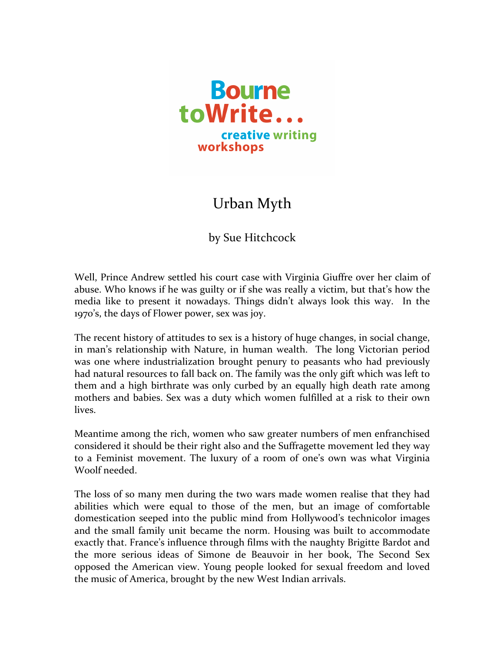

## Urban Myth

## by Sue Hitchcock

Well, Prince Andrew settled his court case with Virginia Giuffre over her claim of abuse. Who knows if he was guilty or if she was really a victim, but that's how the media like to present it nowadays. Things didn't always look this way. In the 1970's, the days of Flower power, sex was joy.

The recent history of attitudes to sex is a history of huge changes, in social change, in man's relationship with Nature, in human wealth. The long Victorian period was one where industrialization brought penury to peasants who had previously had natural resources to fall back on. The family was the only gift which was left to them and a high birthrate was only curbed by an equally high death rate among mothers and babies. Sex was a duty which women fulfilled at a risk to their own lives.

Meantime among the rich, women who saw greater numbers of men enfranchised considered it should be their right also and the Suffragette movement led they way to a Feminist movement. The luxury of a room of one's own was what Virginia Woolf needed.

The loss of so many men during the two wars made women realise that they had abilities which were equal to those of the men, but an image of comfortable domestication seeped into the public mind from Hollywood's technicolor images and the small family unit became the norm. Housing was built to accommodate exactly that. France's influence through films with the naughty Brigitte Bardot and the more serious ideas of Simone de Beauvoir in her book, The Second Sex opposed the American view. Young people looked for sexual freedom and loved the music of America, brought by the new West Indian arrivals.